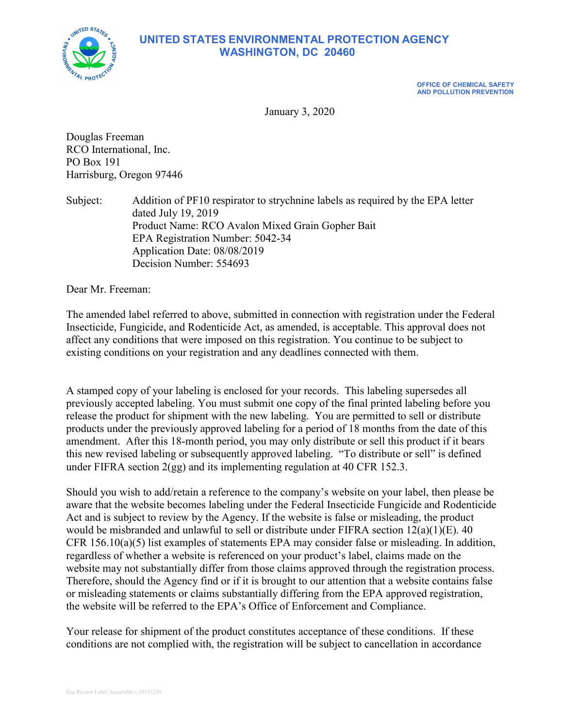

# **UNITED STATES ENVIRONMENTAL PROTECTION AGENCY WASHINGTON, DC 20460**

**OFFICE OF CHEMICAL SAFETY AND POLLUTION PREVENTION**

January 3, 2020

Douglas Freeman RCO International, Inc. PO Box 191 Harrisburg, Oregon 97446

Subject: Addition of PF10 respirator to strychnine labels as required by the EPA letter dated July 19, 2019 Product Name: RCO Avalon Mixed Grain Gopher Bait EPA Registration Number: 5042-34 Application Date: 08/08/2019 Decision Number: 554693

Dear Mr. Freeman:

The amended label referred to above, submitted in connection with registration under the Federal Insecticide, Fungicide, and Rodenticide Act, as amended, is acceptable. This approval does not affect any conditions that were imposed on this registration. You continue to be subject to existing conditions on your registration and any deadlines connected with them.

A stamped copy of your labeling is enclosed for your records. This labeling supersedes all previously accepted labeling. You must submit one copy of the final printed labeling before you release the product for shipment with the new labeling. You are permitted to sell or distribute products under the previously approved labeling for a period of 18 months from the date of this amendment. After this 18-month period, you may only distribute or sell this product if it bears this new revised labeling or subsequently approved labeling. "To distribute or sell" is defined under FIFRA section 2(gg) and its implementing regulation at 40 CFR 152.3.

Should you wish to add/retain a reference to the company's website on your label, then please be aware that the website becomes labeling under the Federal Insecticide Fungicide and Rodenticide Act and is subject to review by the Agency. If the website is false or misleading, the product would be misbranded and unlawful to sell or distribute under FIFRA section 12(a)(1)(E). 40 CFR 156.10(a)(5) list examples of statements EPA may consider false or misleading. In addition, regardless of whether a website is referenced on your product's label, claims made on the website may not substantially differ from those claims approved through the registration process. Therefore, should the Agency find or if it is brought to our attention that a website contains false or misleading statements or claims substantially differing from the EPA approved registration, the website will be referred to the EPA's Office of Enforcement and Compliance.

Your release for shipment of the product constitutes acceptance of these conditions. If these conditions are not complied with, the registration will be subject to cancellation in accordance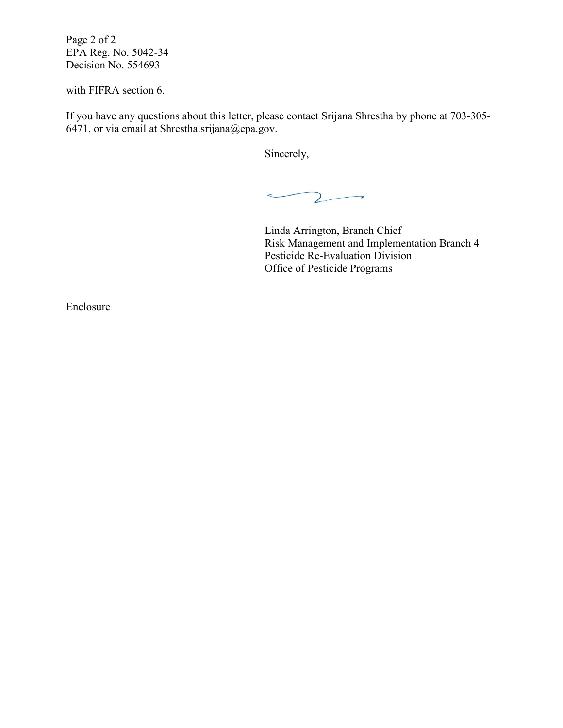Page 2 of 2 EPA Reg. No. 5042-34 Decision No. 554693

with FIFRA section 6.

If you have any questions about this letter, please contact Srijana Shrestha by phone at 703-305- 6471, or via email at Shrestha.srijana@epa.gov.

Sincerely,

 $\sim$  $\mathcal{L}$ -

Linda Arrington, Branch Chief Risk Management and Implementation Branch 4 Pesticide Re-Evaluation Division Office of Pesticide Programs

Enclosure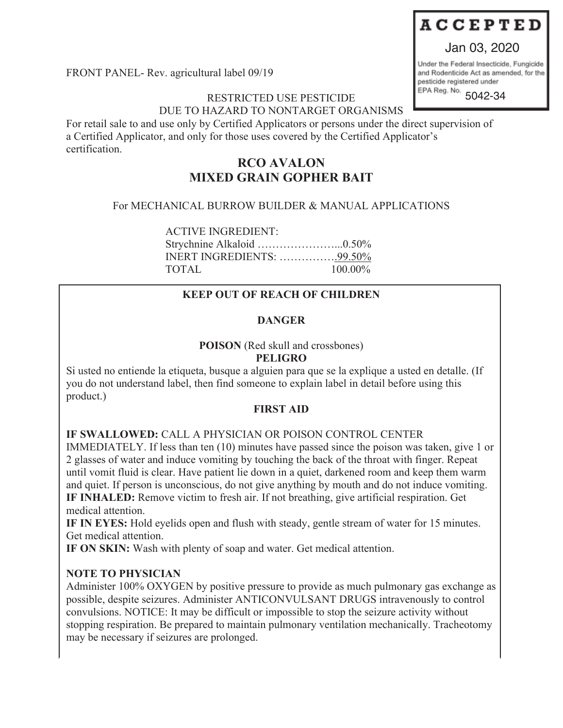## Jan 03, 2020

FRONT PANEL- Rev. agricultural label 09/19

### RESTRICTED USE PESTICIDE DUE TO HAZARD TO NONTARGET ORGANISMS

For retail sale to and use only by Certified Applicators or persons under the direct supervision of a Certified Applicator, and only for those uses covered by the Certified Applicator's certification.

## **RCO AVALON MIXED GRAIN GOPHER BAIT**

## For MECHANICAL BURROW BUILDER & MANUAL APPLICATIONS

ACTIVE INGREDIENT: Strychnine Alkaloid …………………...0.50% INERT INGREDIENTS: …………….99.50% TOTAL 100.00%

## **KEEP OUT OF REACH OF CHILDREN**

## **DANGER**

**POISON** (Red skull and crossbones)

## **PELIGRO**

Si usted no entiende la etiqueta, busque a alguien para que se la explique a usted en detalle. (If you do not understand label, then find someone to explain label in detail before using this product.)

## **FIRST AID**

## **IF SWALLOWED:** CALL A PHYSICIAN OR POISON CONTROL CENTER

IMMEDIATELY. If less than ten (10) minutes have passed since the poison was taken, give 1 or 2 glasses of water and induce vomiting by touching the back of the throat with finger. Repeat until vomit fluid is clear. Have patient lie down in a quiet, darkened room and keep them warm and quiet. If person is unconscious, do not give anything by mouth and do not induce vomiting. **IF INHALED:** Remove victim to fresh air. If not breathing, give artificial respiration. Get medical attention.

**IF IN EYES:** Hold eyelids open and flush with steady, gentle stream of water for 15 minutes. Get medical attention.

**IF ON SKIN:** Wash with plenty of soap and water. Get medical attention.

## **NOTE TO PHYSICIAN**

Administer 100% OXYGEN by positive pressure to provide as much pulmonary gas exchange as possible, despite seizures. Administer ANTICONVULSANT DRUGS intravenously to control convulsions. NOTICE: It may be difficult or impossible to stop the seizure activity without stopping respiration. Be prepared to maintain pulmonary ventilation mechanically. Tracheotomy may be necessary if seizures are prolonged.

Under the Federal Insecticide, Fungicide and Rodenticide Act as amended, for the pesticide registered under

EPA Reg. No. 5042-34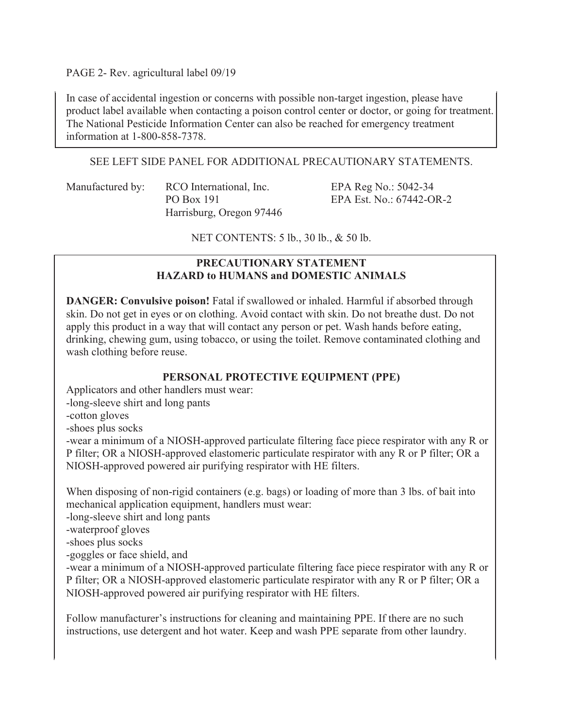PAGE 2- Rev. agricultural label 09/19

In case of accidental ingestion or concerns with possible non-target ingestion, please have product label available when contacting a poison control center or doctor, or going for treatment. The National Pesticide Information Center can also be reached for emergency treatment information at 1-800-858-7378.

#### SEE LEFT SIDE PANEL FOR ADDITIONAL PRECAUTIONARY STATEMENTS.

Manufactured by: RCO International, Inc. EPA Reg No.: 5042-34 Harrisburg, Oregon 97446

PO Box 191 EPA Est. No.: 67442-OR-2

NET CONTENTS: 5 lb., 30 lb., & 50 lb.

#### **PRECAUTIONARY STATEMENT HAZARD to HUMANS and DOMESTIC ANIMALS**

**DANGER: Convulsive poison!** Fatal if swallowed or inhaled. Harmful if absorbed through skin. Do not get in eyes or on clothing. Avoid contact with skin. Do not breathe dust. Do not apply this product in a way that will contact any person or pet. Wash hands before eating, drinking, chewing gum, using tobacco, or using the toilet. Remove contaminated clothing and wash clothing before reuse.

## **PERSONAL PROTECTIVE EQUIPMENT (PPE)**

Applicators and other handlers must wear:

-long-sleeve shirt and long pants

-cotton gloves

-shoes plus socks

-wear a minimum of a NIOSH-approved particulate filtering face piece respirator with any R or P filter; OR a NIOSH-approved elastomeric particulate respirator with any R or P filter; OR a NIOSH-approved powered air purifying respirator with HE filters.

When disposing of non-rigid containers (e.g. bags) or loading of more than 3 lbs. of bait into mechanical application equipment, handlers must wear:

-long-sleeve shirt and long pants

-waterproof gloves

-shoes plus socks

-goggles or face shield, and

-wear a minimum of a NIOSH-approved particulate filtering face piece respirator with any R or P filter; OR a NIOSH-approved elastomeric particulate respirator with any R or P filter; OR a NIOSH-approved powered air purifying respirator with HE filters.

Follow manufacturer's instructions for cleaning and maintaining PPE. If there are no such instructions, use detergent and hot water. Keep and wash PPE separate from other laundry.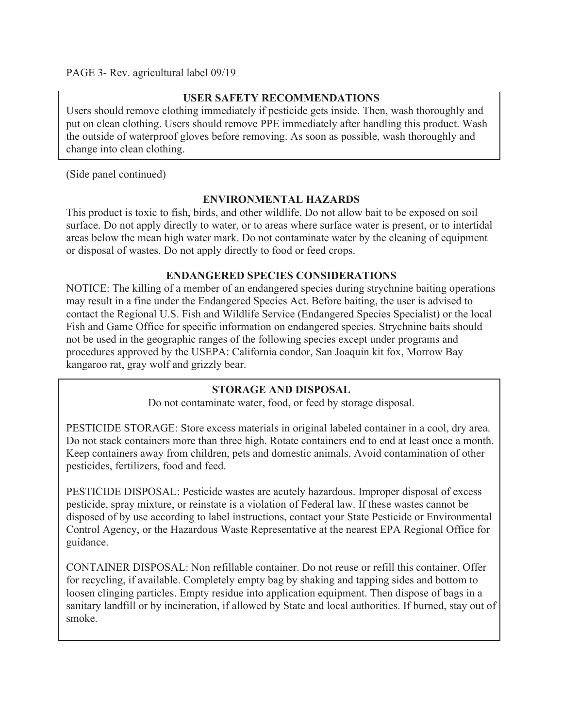### PAGE 3- Rev. agricultural label 09/19

#### **USER SAFETY RECOMMENDATIONS**

Users should remove clothing immediately if pesticide gets inside. Then, wash thoroughly and put on clean clothing. Users should remove PPE immediately after handling this product. Wash the outside of waterproof gloves before removing. As soon as possible, wash thoroughly and change into clean clothing.

(Side panel continued)

## **ENVIRONMENTAL HAZARDS**

This product is toxic to fish, birds, and other wildlife. Do not allow bait to be exposed on soil surface. Do not apply directly to water, or to areas where surface water is present, or to intertidal areas below the mean high water mark. Do not contaminate water by the cleaning of equipment or disposal of wastes. Do not apply directly to food or feed crops.

#### **ENDANGERED SPECIES CONSIDERATIONS**

NOTICE: The killing of a member of an endangered species during strychnine baiting operations may result in a fine under the Endangered Species Act. Before baiting, the user is advised to contact the Regional U.S. Fish and Wildlife Service (Endangered Species Specialist) or the local Fish and Game Office for specific information on endangered species. Strychnine baits should not be used in the geographic ranges of the following species except under programs and procedures approved by the USEPA: California condor, San Joaquin kit fox, Morrow Bay kangaroo rat, gray wolf and grizzly bear.

## **STORAGE AND DISPOSAL**

Do not contaminate water, food, or feed by storage disposal.

PESTICIDE STORAGE: Store excess materials in original labeled container in a cool, dry area. Do not stack containers more than three high. Rotate containers end to end at least once a month. Keep containers away from children, pets and domestic animals. Avoid contamination of other pesticides, fertilizers, food and feed.

PESTICIDE DISPOSAL: Pesticide wastes are acutely hazardous. Improper disposal of excess pesticide, spray mixture, or reinstate is a violation of Federal law. If these wastes cannot be disposed of by use according to label instructions, contact your State Pesticide or Environmental Control Agency, or the Hazardous Waste Representative at the nearest EPA Regional Office for guidance.

CONTAINER DISPOSAL: Non refillable container. Do not reuse or refill this container. Offer for recycling, if available. Completely empty bag by shaking and tapping sides and bottom to loosen clinging particles. Empty residue into application equipment. Then dispose of bags in a sanitary landfill or by incineration, if allowed by State and local authorities. If burned, stay out of smoke.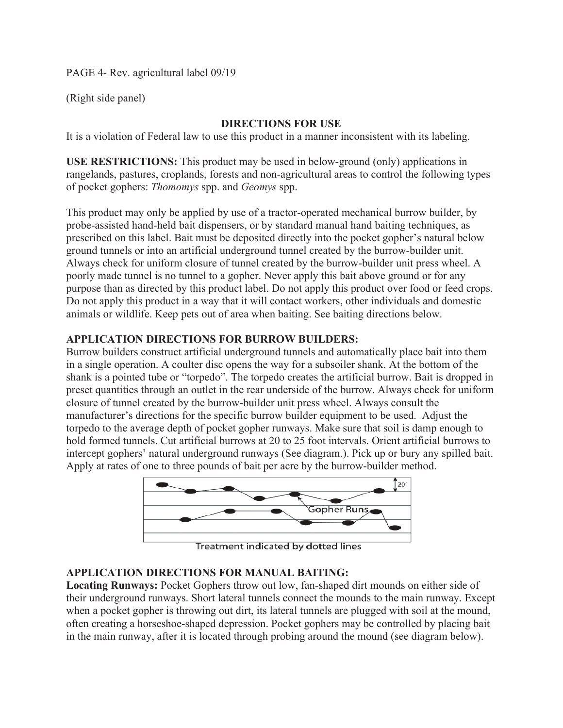PAGE 4- Rev. agricultural label 09/19

(Right side panel)

### **DIRECTIONS FOR USE**

It is a violation of Federal law to use this product in a manner inconsistent with its labeling.

**USE RESTRICTIONS:** This product may be used in below-ground (only) applications in rangelands, pastures, croplands, forests and non-agricultural areas to control the following types of pocket gophers: *Thomomys* spp. and *Geomys* spp.

This product may only be applied by use of a tractor-operated mechanical burrow builder, by probe-assisted hand-held bait dispensers, or by standard manual hand baiting techniques, as prescribed on this label. Bait must be deposited directly into the pocket gopher's natural below ground tunnels or into an artificial underground tunnel created by the burrow-builder unit. Always check for uniform closure of tunnel created by the burrow-builder unit press wheel. A poorly made tunnel is no tunnel to a gopher. Never apply this bait above ground or for any purpose than as directed by this product label. Do not apply this product over food or feed crops. Do not apply this product in a way that it will contact workers, other individuals and domestic animals or wildlife. Keep pets out of area when baiting. See baiting directions below.

#### **APPLICATION DIRECTIONS FOR BURROW BUILDERS:**

Burrow builders construct artificial underground tunnels and automatically place bait into them in a single operation. A coulter disc opens the way for a subsoiler shank. At the bottom of the shank is a pointed tube or "torpedo". The torpedo creates the artificial burrow. Bait is dropped in preset quantities through an outlet in the rear underside of the burrow. Always check for uniform closure of tunnel created by the burrow-builder unit press wheel. Always consult the manufacturer's directions for the specific burrow builder equipment to be used. Adjust the torpedo to the average depth of pocket gopher runways. Make sure that soil is damp enough to hold formed tunnels. Cut artificial burrows at 20 to 25 foot intervals. Orient artificial burrows to intercept gophers' natural underground runways (See diagram.). Pick up or bury any spilled bait. Apply at rates of one to three pounds of bait per acre by the burrow-builder method.



Treatment indicated by dotted lines

#### **APPLICATION DIRECTIONS FOR MANUAL BAITING:**

**Locating Runways:** Pocket Gophers throw out low, fan-shaped dirt mounds on either side of their underground runways. Short lateral tunnels connect the mounds to the main runway. Except when a pocket gopher is throwing out dirt, its lateral tunnels are plugged with soil at the mound, often creating a horseshoe-shaped depression. Pocket gophers may be controlled by placing bait in the main runway, after it is located through probing around the mound (see diagram below).